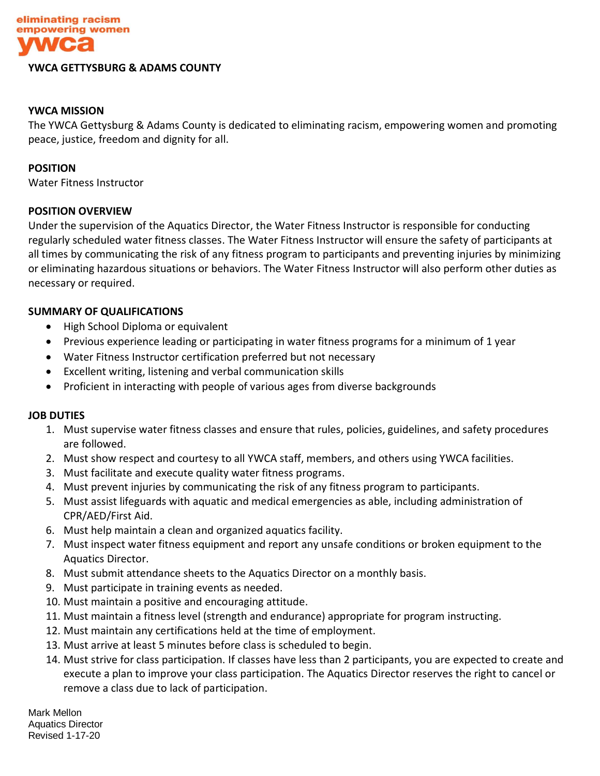

#### **YWCA GETTYSBURG & ADAMS COUNTY**

# **YWCA MISSION**

The YWCA Gettysburg & Adams County is dedicated to eliminating racism, empowering women and promoting peace, justice, freedom and dignity for all.

#### **POSITION**

Water Fitness Instructor

## **POSITION OVERVIEW**

Under the supervision of the Aquatics Director, the Water Fitness Instructor is responsible for conducting regularly scheduled water fitness classes. The Water Fitness Instructor will ensure the safety of participants at all times by communicating the risk of any fitness program to participants and preventing injuries by minimizing or eliminating hazardous situations or behaviors. The Water Fitness Instructor will also perform other duties as necessary or required.

## **SUMMARY OF QUALIFICATIONS**

- High School Diploma or equivalent
- Previous experience leading or participating in water fitness programs for a minimum of 1 year
- Water Fitness Instructor certification preferred but not necessary
- Excellent writing, listening and verbal communication skills
- Proficient in interacting with people of various ages from diverse backgrounds

## **JOB DUTIES**

- 1. Must supervise water fitness classes and ensure that rules, policies, guidelines, and safety procedures are followed.
- 2. Must show respect and courtesy to all YWCA staff, members, and others using YWCA facilities.
- 3. Must facilitate and execute quality water fitness programs.
- 4. Must prevent injuries by communicating the risk of any fitness program to participants.
- 5. Must assist lifeguards with aquatic and medical emergencies as able, including administration of CPR/AED/First Aid.
- 6. Must help maintain a clean and organized aquatics facility.
- 7. Must inspect water fitness equipment and report any unsafe conditions or broken equipment to the Aquatics Director.
- 8. Must submit attendance sheets to the Aquatics Director on a monthly basis.
- 9. Must participate in training events as needed.
- 10. Must maintain a positive and encouraging attitude.
- 11. Must maintain a fitness level (strength and endurance) appropriate for program instructing.
- 12. Must maintain any certifications held at the time of employment.
- 13. Must arrive at least 5 minutes before class is scheduled to begin.
- 14. Must strive for class participation. If classes have less than 2 participants, you are expected to create and execute a plan to improve your class participation. The Aquatics Director reserves the right to cancel or remove a class due to lack of participation.

Mark Mellon Aquatics Director Revised 1-17-20